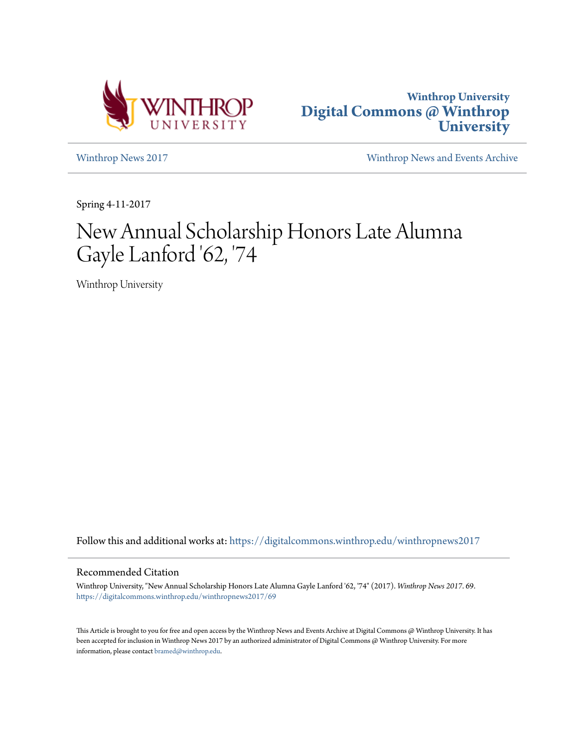



[Winthrop News 2017](https://digitalcommons.winthrop.edu/winthropnews2017?utm_source=digitalcommons.winthrop.edu%2Fwinthropnews2017%2F69&utm_medium=PDF&utm_campaign=PDFCoverPages) [Winthrop News and Events Archive](https://digitalcommons.winthrop.edu/winthropnewsarchives?utm_source=digitalcommons.winthrop.edu%2Fwinthropnews2017%2F69&utm_medium=PDF&utm_campaign=PDFCoverPages)

Spring 4-11-2017

# New Annual Scholarship Honors Late Alumna Gayle Lanford '62, '74

Winthrop University

Follow this and additional works at: [https://digitalcommons.winthrop.edu/winthropnews2017](https://digitalcommons.winthrop.edu/winthropnews2017?utm_source=digitalcommons.winthrop.edu%2Fwinthropnews2017%2F69&utm_medium=PDF&utm_campaign=PDFCoverPages)

### Recommended Citation

Winthrop University, "New Annual Scholarship Honors Late Alumna Gayle Lanford '62, '74" (2017). *Winthrop News 2017*. 69. [https://digitalcommons.winthrop.edu/winthropnews2017/69](https://digitalcommons.winthrop.edu/winthropnews2017/69?utm_source=digitalcommons.winthrop.edu%2Fwinthropnews2017%2F69&utm_medium=PDF&utm_campaign=PDFCoverPages)

This Article is brought to you for free and open access by the Winthrop News and Events Archive at Digital Commons @ Winthrop University. It has been accepted for inclusion in Winthrop News 2017 by an authorized administrator of Digital Commons @ Winthrop University. For more information, please contact [bramed@winthrop.edu](mailto:bramed@winthrop.edu).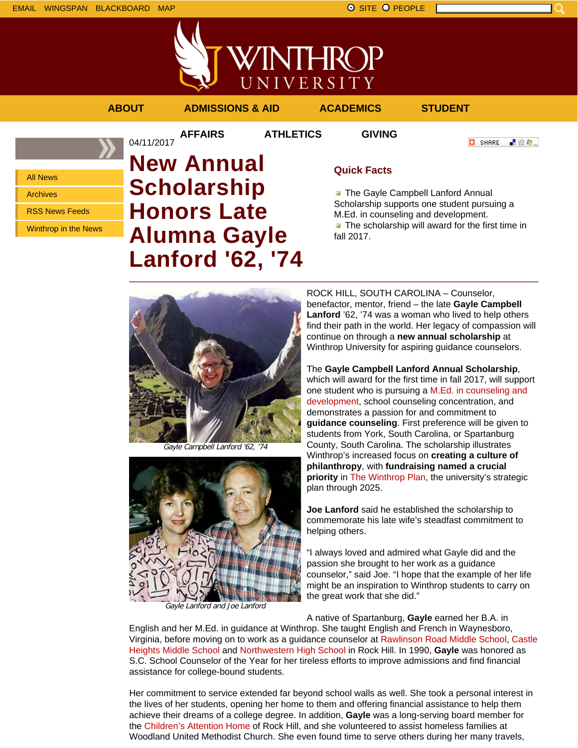

**//INTHROP** UNIVERSITY

## **ABOUT ADMISSIONS & AID ACADEMICS STUDENT**

04/11/2017

**AFFAIRS ATHLETICS GIVING**

All News Archives RSS News Feeds

Winthrop in the News

# **New Annual Scholarship Honors Late Alumna Gayle Lanford '62, '74**

# **Quick Facts**

**The Gayle Campbell Lanford Annual** Scholarship supports one student pursuing a M.Ed. in counseling and development.  $\blacksquare$  The scholarship will award for the first time in fall 2017.

ROCK HILL, SOUTH CAROLINA – Counselor, benefactor, mentor, friend – the late **Gayle Campbell Lanford** '62, '74 was a woman who lived to help others find their path in the world. Her legacy of compassion will continue on through a **new annual scholarship** at Winthrop University for aspiring guidance counselors. The **Gayle Campbell Lanford Annual Scholarship**,

which will award for the first time in fall 2017, will support one student who is pursuing a M.Ed. in counseling and development, school counseling concentration, and demonstrates a passion for and commitment to **guidance counseling**. First preference will be given to students from York, South Carolina, or Spartanburg County, South Carolina. The scholarship illustrates Winthrop's increased focus on **creating a culture of philanthropy**, with **fundraising named a crucial priority** in The Winthrop Plan, the university's strategic plan through 2025.

**Joe Lanford** said he established the scholarship to commemorate his late wife's steadfast commitment to helping others.

"I always loved and admired what Gayle did and the passion she brought to her work as a guidance counselor," said Joe. "I hope that the example of her life might be an inspiration to Winthrop students to carry on the great work that she did."

A native of Spartanburg, **Gayle** earned her B.A. in

English and her M.Ed. in guidance at Winthrop. She taught English and French in Waynesboro, Virginia, before moving on to work as a guidance counselor at Rawlinson Road Middle School, Castle Heights Middle School and Northwestern High School in Rock Hill. In 1990, **Gayle** was honored as S.C. School Counselor of the Year for her tireless efforts to improve admissions and find financial assistance for college-bound students.

Her commitment to service extended far beyond school walls as well. She took a personal interest in the lives of her students, opening her home to them and offering financial assistance to help them achieve their dreams of a college degree. In addition, **Gayle** was a long-serving board member for the Children's Attention Home of Rock Hill, and she volunteered to assist homeless families at Woodland United Methodist Church. She even found time to serve others during her many travels,





Gayle Lanford and Joe Lanford

**O** SHARE ■ 80 ●